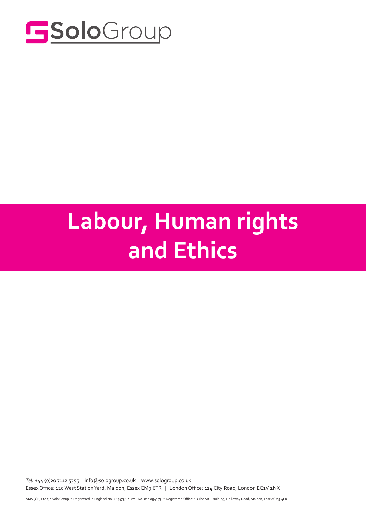

### Solo **Labour, Human rights** and Ethics

*Tel:* +44 (0)20 7112 5355 info@sologroup.co.uk www.sologroup.co.uk Essex Office: 12c West Station Yard, Maldon, Essex CM9 6TR | London Office: 124 City Road, London EC1V 2NX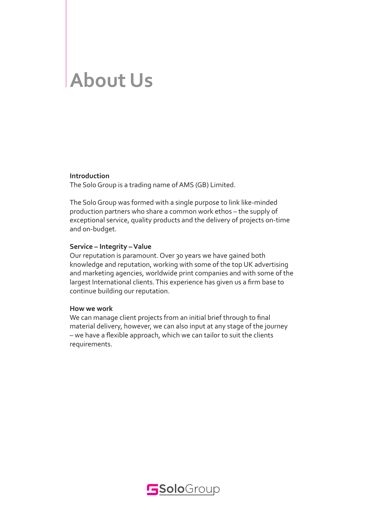## **About Us**

#### **Introduction**

The Solo Group is a trading name of AMS (GB) Limited.

The Solo Group was formed with a single purpose to link like-minded production partners who share a common work ethos – the supply of exceptional service, quality products and the delivery of projects on-time and on-budget.

#### **Service – Integrity – Value**

Our reputation is paramount. Over 30 years we have gained both knowledge and reputation, working with some of the top UK advertising and marketing agencies, worldwide print companies and with some of the largest International clients. This experience has given us a firm base to continue building our reputation.

#### **How we work**

We can manage client projects from an initial brief through to final material delivery, however, we can also input at any stage of the journey – we have a flexible approach, which we can tailor to suit the clients requirements.

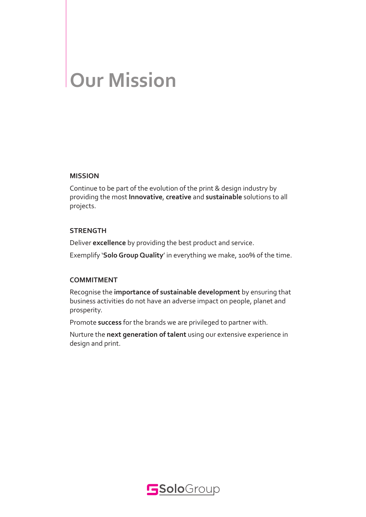# **Our Mission**

#### **MISSION**

Continue to be part of the evolution of the print & design industry by providing the most **Innovative**, **creative** and **sustainable** solutions to all projects.

#### **STRENGTH**

Deliver **excellence** by providing the best product and service.

Exemplify '**Solo Group Quality**' in everything we make, 100% of the time.

#### **COMMITMENT**

Recognise the **importance of sustainable development** by ensuring that business activities do not have an adverse impact on people, planet and prosperity.

Promote **success** for the brands we are privileged to partner with.

Nurture the **next generation of talent** using our extensive experience in design and print.

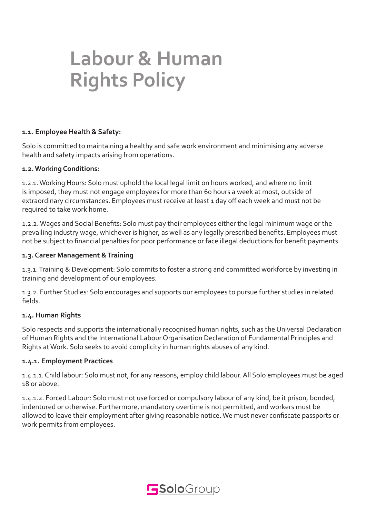### **Labour & Human Rights Policy**

#### **1.1. Employee Health & Safety:**

Solo is committed to maintaining a healthy and safe work environment and minimising any adverse health and safety impacts arising from operations.

#### **1.2. Working Conditions:**

1.2.1. Working Hours: Solo must uphold the local legal limit on hours worked, and where no limit is imposed, they must not engage employees for more than 60 hours a week at most, outside of extraordinary circumstances. Employees must receive at least 1 day off each week and must not be required to take work home.

1.2.2. Wages and Social Benefits: Solo must pay their employees either the legal minimum wage or the prevailing industry wage, whichever is higher, as well as any legally prescribed benefits. Employees must not be subject to financial penalties for poor performance or face illegal deductions for benefit payments.

#### **1.3. Career Management & Training**

1.3.1. Training & Development: Solo commits to foster a strong and committed workforce by investing in training and development of our employees.

1.3.2. Further Studies: Solo encourages and supports our employees to pursue further studies in related fields.

#### **1.4. Human Rights**

Solo respects and supports the internationally recognised human rights, such as the Universal Declaration of Human Rights and the International Labour Organisation Declaration of Fundamental Principles and Rights at Work. Solo seeks to avoid complicity in human rights abuses of any kind.

#### **1.4.1. Employment Practices**

1.4.1.1. Child labour: Solo must not, for any reasons, employ child labour. All Solo employees must be aged 18 or above.

1.4.1.2. Forced Labour: Solo must not use forced or compulsory labour of any kind, be it prison, bonded, indentured or otherwise. Furthermore, mandatory overtime is not permitted, and workers must be allowed to leave their employment after giving reasonable notice. We must never confiscate passports or work permits from employees.

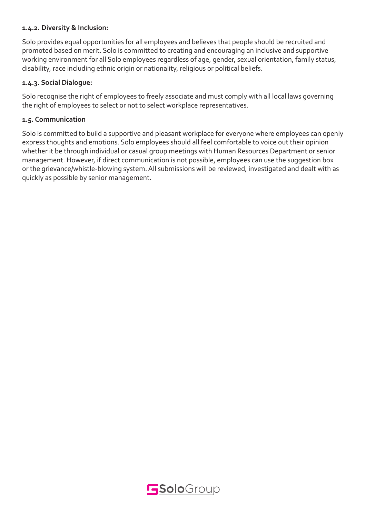#### **1.4.2. Diversity & Inclusion:**

Solo provides equal opportunities for all employees and believes that people should be recruited and promoted based on merit. Solo is committed to creating and encouraging an inclusive and supportive working environment for all Solo employees regardless of age, gender, sexual orientation, family status, disability, race including ethnic origin or nationality, religious or political beliefs.

#### **1.4.3. Social Dialogue:**

Solo recognise the right of employees to freely associate and must comply with all local laws governing the right of employees to select or not to select workplace representatives.

#### **1.5. Communication**

Solo is committed to build a supportive and pleasant workplace for everyone where employees can openly express thoughts and emotions. Solo employees should all feel comfortable to voice out their opinion whether it be through individual or casual group meetings with Human Resources Department or senior management. However, if direct communication is not possible, employees can use the suggestion box or the grievance/whistle-blowing system. All submissions will be reviewed, investigated and dealt with as quickly as possible by senior management.

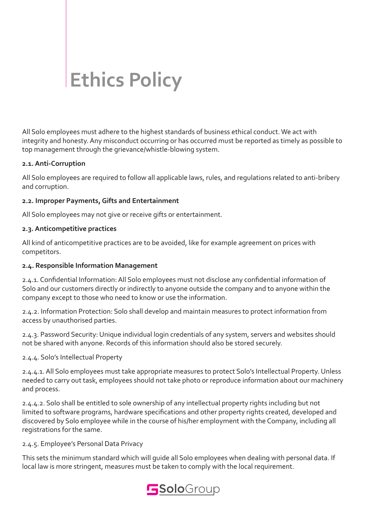## **Ethics Policy**

All Solo employees must adhere to the highest standards of business ethical conduct. We act with integrity and honesty. Any misconduct occurring or has occurred must be reported as timely as possible to top management through the grievance/whistle-blowing system.

#### **2.1. Anti-Corruption**

All Solo employees are required to follow all applicable laws, rules, and regulations related to anti-bribery and corruption.

#### **2.2. Improper Payments, Gifts and Entertainment**

All Solo employees may not give or receive gifts or entertainment.

#### **2.3. Anticompetitive practices**

All kind of anticompetitive practices are to be avoided, like for example agreement on prices with competitors.

#### **2.4. Responsible Information Management**

2.4.1. Confidential Information: All Solo employees must not disclose any confidential information of Solo and our customers directly or indirectly to anyone outside the company and to anyone within the company except to those who need to know or use the information.

2.4.2. Information Protection: Solo shall develop and maintain measures to protect information from access by unauthorised parties.

2.4.3. Password Security: Unique individual login credentials of any system, servers and websites should not be shared with anyone. Records of this information should also be stored securely.

2.4.4. Solo's Intellectual Property

2.4.4.1. All Solo employees must take appropriate measures to protect Solo's Intellectual Property. Unless needed to carry out task, employees should not take photo or reproduce information about our machinery and process.

2.4.4.2. Solo shall be entitled to sole ownership of any intellectual property rights including but not limited to software programs, hardware specifications and other property rights created, developed and discovered by Solo employee while in the course of his/her employment with the Company, including all registrations for the same.

#### 2.4.5. Employee's Personal Data Privacy

This sets the minimum standard which will guide all Solo employees when dealing with personal data. If local law is more stringent, measures must be taken to comply with the local requirement.